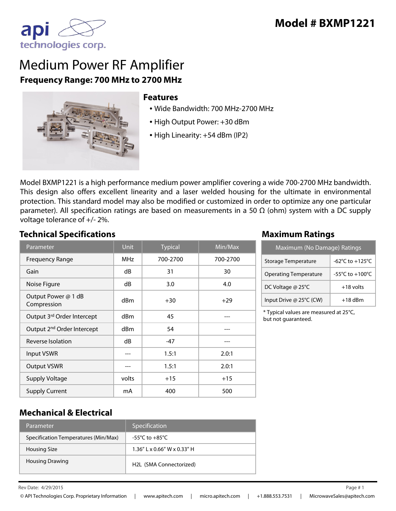

# Medium Power RF Amplifier **Frequency Range: 700 MHz to 2700 MHz**



#### **Features**

- Wide Bandwidth: 700 MHz-2700 MHz
- High Output Power: +30 dBm
- High Linearity: +54 dBm (IP2)

Model BXMP1221 is a high performance medium power amplifier covering a wide 700-2700 MHz bandwidth. This design also offers excellent linearity and a laser welded housing for the ultimate in environmental protection. This standard model may also be modified or customized in order to optimize any one particular parameter). All specification ratings are based on measurements in a 50  $\Omega$  (ohm) system with a DC supply voltage tolerance of +/- 2%.

#### **Technical Specifications Maximum Ratings**

| Parameter                              | <b>Unit</b> | <b>Typical</b> | Min/Max  |
|----------------------------------------|-------------|----------------|----------|
| <b>Frequency Range</b>                 | <b>MHz</b>  | 700-2700       | 700-2700 |
| Gain                                   | dB          | 31             | 30       |
| Noise Figure                           | dB          | 3.0            | 4.0      |
| Output Power @ 1 dB<br>Compression     | dBm         | $+30$          | $+29$    |
| Output 3rd Order Intercept             | dBm         | 45             |          |
| Output 2 <sup>nd</sup> Order Intercept | dBm         | 54             |          |
| Reverse Isolation                      | dB          | $-47$          |          |
| Input VSWR                             |             | 1.5:1          | 2.0:1    |
| <b>Output VSWR</b>                     |             | 1.5:1          | 2.0:1    |
| <b>Supply Voltage</b>                  | volts       | $+15$          | $+15$    |
| <b>Supply Current</b>                  | mA          | 400            | 500      |

| Maximum (No Damage) Ratings  |                 |  |
|------------------------------|-----------------|--|
| Storage Temperature          | -62°C to +125°C |  |
| <b>Operating Temperature</b> | -55°C to +100°C |  |
| DC Voltage @ 25°C            | $+18$ volts     |  |
| Input Drive @ 25°C (CW)      | $+18$ dBm       |  |

\* Typical values are measured at 25°C, but not guaranteed.

#### **Mechanical & Electrical**

| Parameter                            | Specification                  |
|--------------------------------------|--------------------------------|
| Specification Temperatures (Min/Max) | -55°C to $+85^{\circ}$ C       |
| Housing Size                         | $1.36''$ L x 0.66" W x 0.33" H |
| <b>Housing Drawing</b>               | H2L (SMA Connectorized)        |

Rev Date:  $4/29/2015$  Page # 1

4/29/2015 1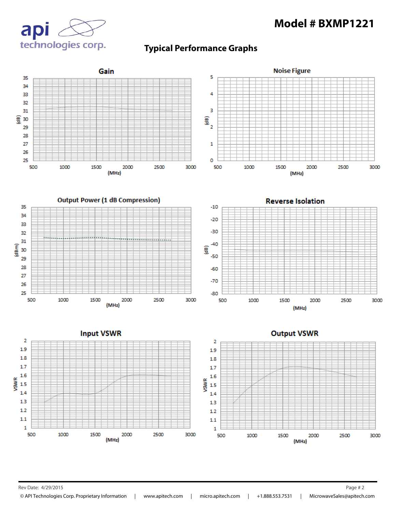## **Model # BXMP1221**



### **Typical Performance Graphs**



Rev Date: 4/29/2015 Page # 2